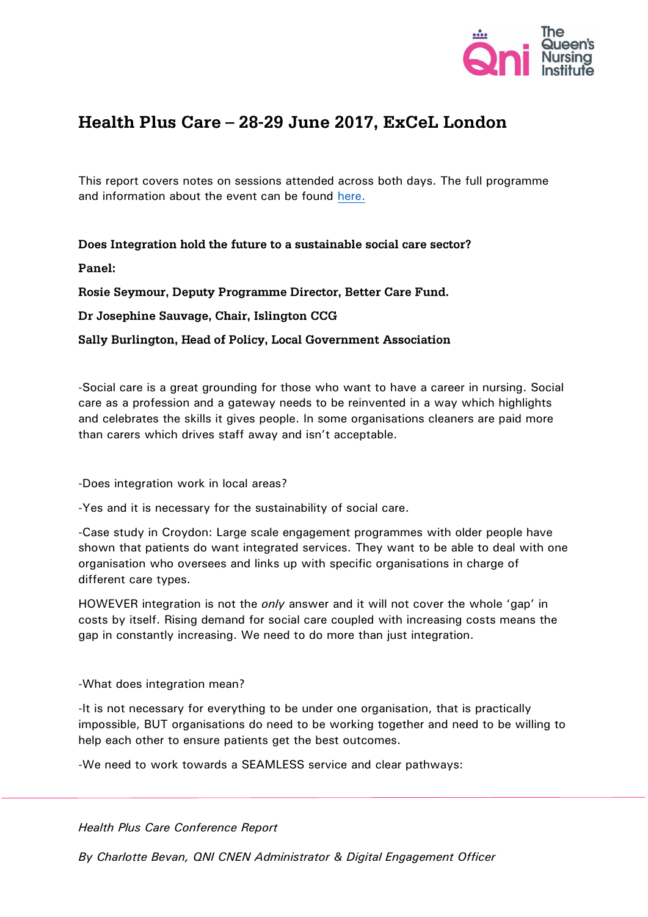

# Health Plus Care – 28-29 June 2017, ExCeL London

This report covers notes on sessions attended across both days. The full programme and information about the event can be found [here.](http://www.healthpluscare.co.uk/)

Does Integration hold the future to a sustainable social care sector?

## Panel:

Rosie Seymour, Deputy Programme Director, Better Care Fund.

Dr Josephine Sauvage, Chair, Islington CCG

Sally Burlington, Head of Policy, Local Government Association

-Social care is a great grounding for those who want to have a career in nursing. Social care as a profession and a gateway needs to be reinvented in a way which highlights and celebrates the skills it gives people. In some organisations cleaners are paid more than carers which drives staff away and isn't acceptable.

-Does integration work in local areas?

-Yes and it is necessary for the sustainability of social care.

-Case study in Croydon: Large scale engagement programmes with older people have shown that patients do want integrated services. They want to be able to deal with one organisation who oversees and links up with specific organisations in charge of different care types.

HOWEVER integration is not the *only* answer and it will not cover the whole 'gap' in costs by itself. Rising demand for social care coupled with increasing costs means the gap in constantly increasing. We need to do more than just integration.

-What does integration mean?

-It is not necessary for everything to be under one organisation, that is practically impossible, BUT organisations do need to be working together and need to be willing to help each other to ensure patients get the best outcomes.

-We need to work towards a SEAMLESS service and clear pathways:

*Health Plus Care Conference Report*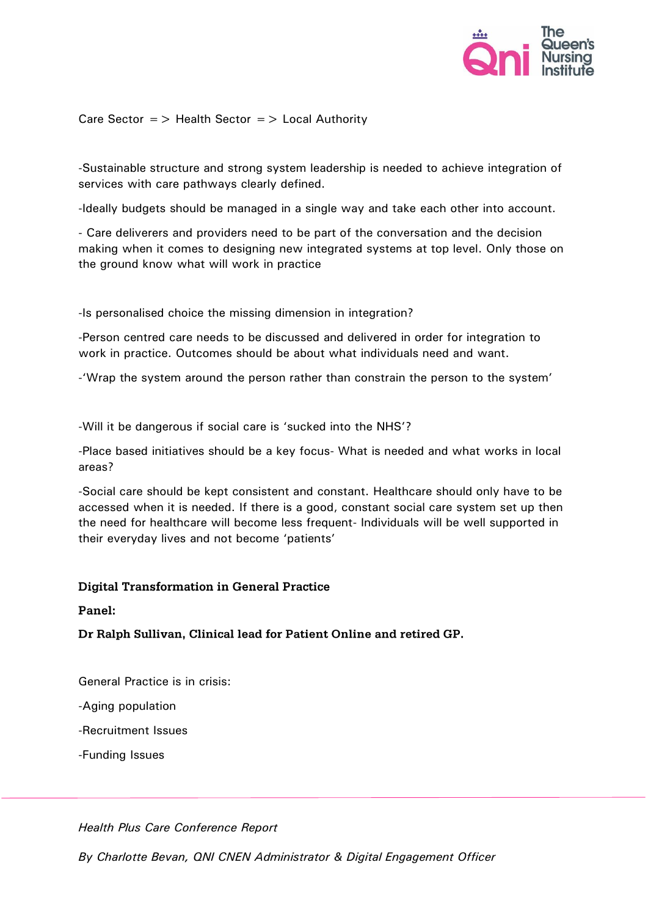

Care Sector  $=$  > Health Sector  $=$  > Local Authority

-Sustainable structure and strong system leadership is needed to achieve integration of services with care pathways clearly defined.

-Ideally budgets should be managed in a single way and take each other into account.

- Care deliverers and providers need to be part of the conversation and the decision making when it comes to designing new integrated systems at top level. Only those on the ground know what will work in practice

-Is personalised choice the missing dimension in integration?

-Person centred care needs to be discussed and delivered in order for integration to work in practice. Outcomes should be about what individuals need and want.

-'Wrap the system around the person rather than constrain the person to the system'

-Will it be dangerous if social care is 'sucked into the NHS'?

-Place based initiatives should be a key focus- What is needed and what works in local areas?

-Social care should be kept consistent and constant. Healthcare should only have to be accessed when it is needed. If there is a good, constant social care system set up then the need for healthcare will become less frequent- Individuals will be well supported in their everyday lives and not become 'patients'

#### **Digital Transformation in General Practice**

Panel:

Dr Ralph Sullivan, Clinical lead for Patient Online and retired GP.

General Practice is in crisis:

-Aging population

-Recruitment Issues

-Funding Issues

*Health Plus Care Conference Report*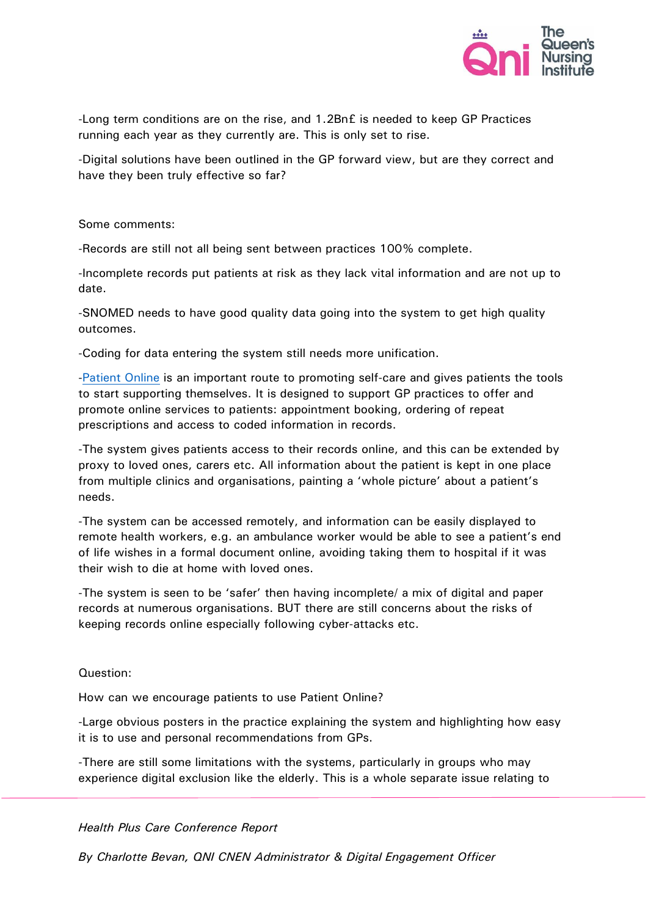

-Long term conditions are on the rise, and 1.2Bn£ is needed to keep GP Practices running each year as they currently are. This is only set to rise.

-Digital solutions have been outlined in the GP forward view, but are they correct and have they been truly effective so far?

Some comments:

-Records are still not all being sent between practices 100% complete.

-Incomplete records put patients at risk as they lack vital information and are not up to date.

-SNOMED needs to have good quality data going into the system to get high quality outcomes.

-Coding for data entering the system still needs more unification.

[-Patient Online](https://www.england.nhs.uk/ourwork/pe/patient-online/) is an important route to promoting self-care and gives patients the tools to start supporting themselves. It is designed to support GP practices to offer and promote online services to patients: appointment booking, ordering of repeat prescriptions and access to coded information in records.

-The system gives patients access to their records online, and this can be extended by proxy to loved ones, carers etc. All information about the patient is kept in one place from multiple clinics and organisations, painting a 'whole picture' about a patient's needs.

-The system can be accessed remotely, and information can be easily displayed to remote health workers, e.g. an ambulance worker would be able to see a patient's end of life wishes in a formal document online, avoiding taking them to hospital if it was their wish to die at home with loved ones.

-The system is seen to be 'safer' then having incomplete/ a mix of digital and paper records at numerous organisations. BUT there are still concerns about the risks of keeping records online especially following cyber-attacks etc.

Question:

How can we encourage patients to use Patient Online?

-Large obvious posters in the practice explaining the system and highlighting how easy it is to use and personal recommendations from GPs.

-There are still some limitations with the systems, particularly in groups who may experience digital exclusion like the elderly. This is a whole separate issue relating to

*Health Plus Care Conference Report*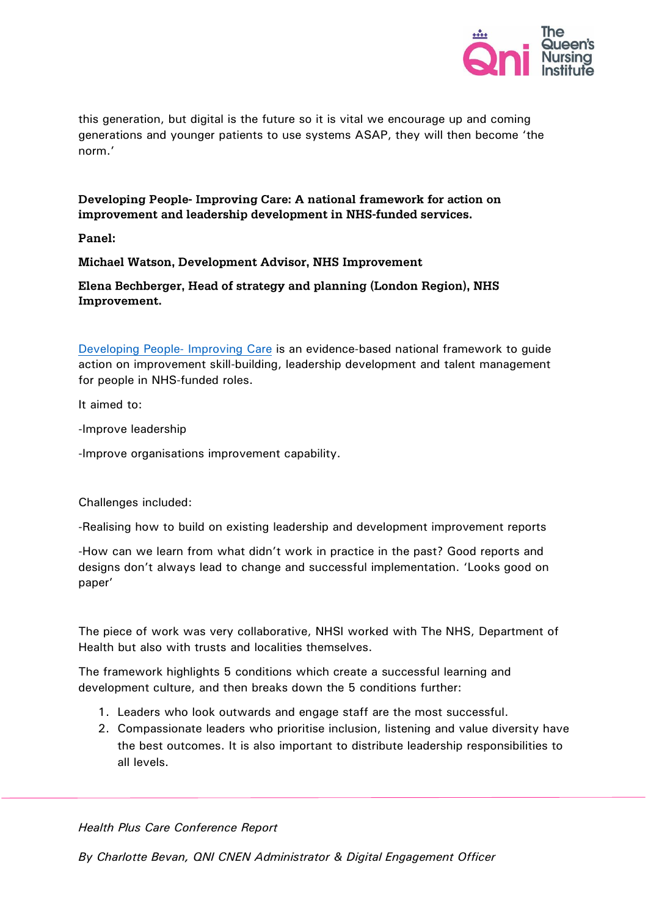

this generation, but digital is the future so it is vital we encourage up and coming generations and younger patients to use systems ASAP, they will then become 'the norm.'

# Developing People- Improving Care: A national framework for action on improvement and leadership development in NHS-funded services.

Panel:

Michael Watson, Development Advisor, NHS Improvement

# Elena Bechberger, Head of strategy and planning (London Region), NHS Improvement.

[Developing People-](https://improvement.nhs.uk/resources/developing-people-improving-care/) Improving Care is an evidence-based national framework to guide action on improvement skill-building, leadership development and talent management for people in NHS-funded roles.

It aimed to:

-Improve leadership

-Improve organisations improvement capability.

Challenges included:

-Realising how to build on existing leadership and development improvement reports

-How can we learn from what didn't work in practice in the past? Good reports and designs don't always lead to change and successful implementation. 'Looks good on paper'

The piece of work was very collaborative, NHSI worked with The NHS, Department of Health but also with trusts and localities themselves.

The framework highlights 5 conditions which create a successful learning and development culture, and then breaks down the 5 conditions further:

- 1. Leaders who look outwards and engage staff are the most successful.
- 2. Compassionate leaders who prioritise inclusion, listening and value diversity have the best outcomes. It is also important to distribute leadership responsibilities to all levels.

*Health Plus Care Conference Report*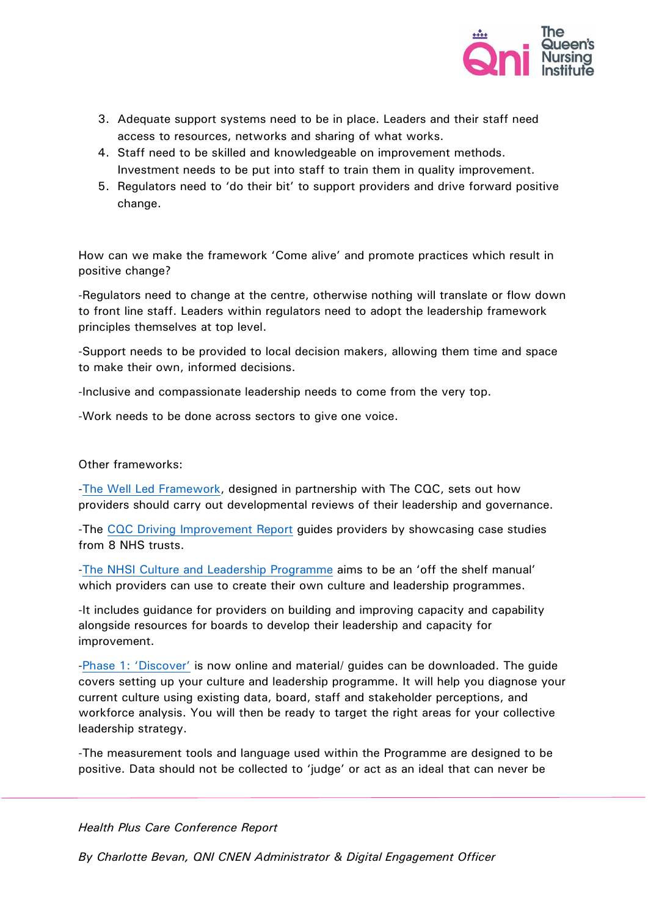

- 3. Adequate support systems need to be in place. Leaders and their staff need access to resources, networks and sharing of what works.
- 4. Staff need to be skilled and knowledgeable on improvement methods. Investment needs to be put into staff to train them in quality improvement.
- 5. Regulators need to 'do their bit' to support providers and drive forward positive change.

How can we make the framework 'Come alive' and promote practices which result in positive change?

-Regulators need to change at the centre, otherwise nothing will translate or flow down to front line staff. Leaders within regulators need to adopt the leadership framework principles themselves at top level.

-Support needs to be provided to local decision makers, allowing them time and space to make their own, informed decisions.

-Inclusive and compassionate leadership needs to come from the very top.

-Work needs to be done across sectors to give one voice.

### Other frameworks:

[-The Well Led Framework,](https://improvement.nhs.uk/resources/well-led-framework/) designed in partnership with The CQC, sets out how providers should carry out developmental reviews of their leadership and governance.

-The [CQC Driving Improvement Report](https://www.cqc.org.uk/sites/default/files/20170614_drivingimprovement.pdf) guides providers by showcasing case studies from 8 NHS trusts.

[-The NHSI Culture and Leadership Programme](https://improvement.nhs.uk/resources/culture/) aims to be an 'off the shelf manual' which providers can use to create their own culture and leadership programmes.

-It includes guidance for providers on building and improving capacity and capability alongside resources for boards to develop their leadership and capacity for improvement.

-[Phase 1: 'Discover'](https://improvement.nhs.uk/resources/culture-and-leadership/) is now online and material/ guides can be downloaded. The guide covers setting up your culture and leadership programme. It will help you diagnose your current culture using existing data, board, staff and stakeholder perceptions, and workforce analysis. You will then be ready to target the right areas for your collective leadership strategy.

-The measurement tools and language used within the Programme are designed to be positive. Data should not be collected to 'judge' or act as an ideal that can never be

*Health Plus Care Conference Report*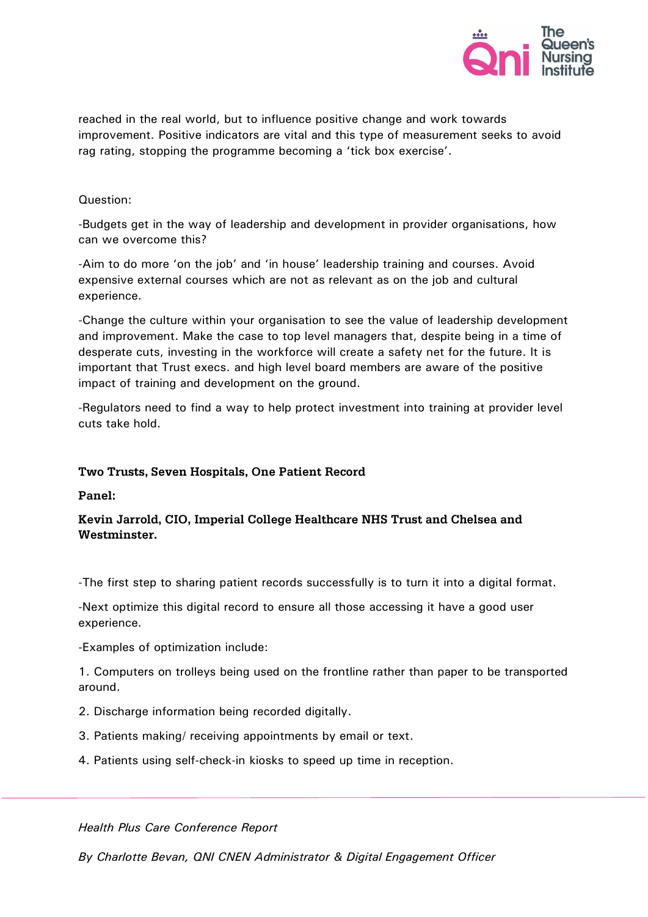

reached in the real world, but to influence positive change and work towards improvement. Positive indicators are vital and this type of measurement seeks to avoid rag rating, stopping the programme becoming a 'tick box exercise'.

## Question:

-Budgets get in the way of leadership and development in provider organisations, how can we overcome this?

-Aim to do more 'on the job' and 'in house' leadership training and courses. Avoid expensive external courses which are not as relevant as on the job and cultural experience.

-Change the culture within your organisation to see the value of leadership development and improvement. Make the case to top level managers that, despite being in a time of desperate cuts, investing in the workforce will create a safety net for the future. It is important that Trust execs. and high level board members are aware of the positive impact of training and development on the ground.

-Regulators need to find a way to help protect investment into training at provider level cuts take hold.

# Two Trusts, Seven Hospitals, One Patient Record

Panel:

# Kevin Jarrold, CIO, Imperial College Healthcare NHS Trust and Chelsea and Westminster.

-The first step to sharing patient records successfully is to turn it into a digital format.

-Next optimize this digital record to ensure all those accessing it have a good user experience.

-Examples of optimization include:

1. Computers on trolleys being used on the frontline rather than paper to be transported around.

- 2. Discharge information being recorded digitally.
- 3. Patients making/ receiving appointments by email or text.
- 4. Patients using self-check-in kiosks to speed up time in reception.

*Health Plus Care Conference Report*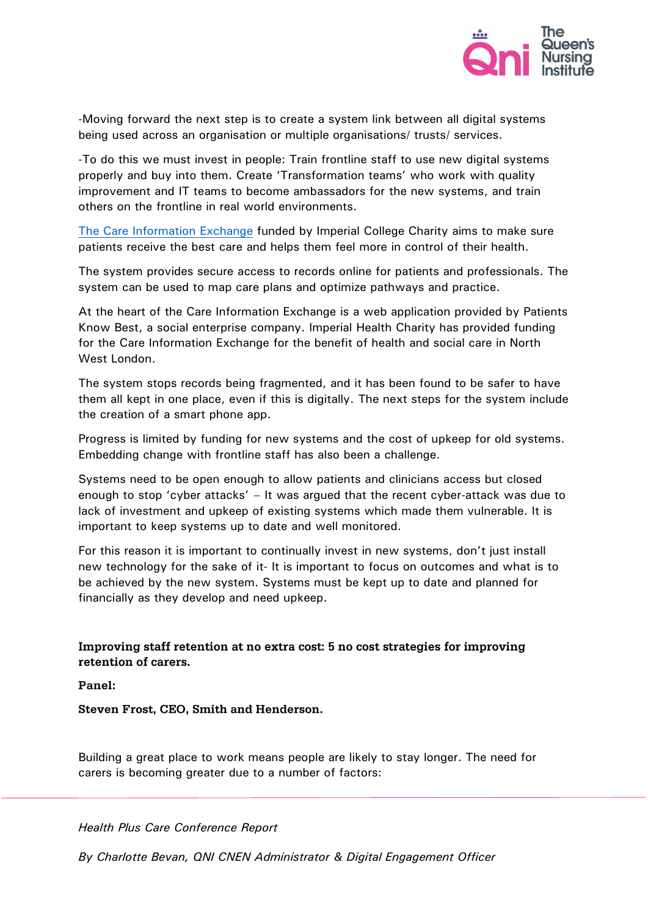

-Moving forward the next step is to create a system link between all digital systems being used across an organisation or multiple organisations/ trusts/ services.

-To do this we must invest in people: Train frontline staff to use new digital systems properly and buy into them. Create 'Transformation teams' who work with quality improvement and IT teams to become ambassadors for the new systems, and train others on the frontline in real world environments.

[The Care Information Exchange](https://www.careinformationexchange-nwl.nhs.uk/how-it-works) funded by Imperial College Charity aims to make sure patients receive the best care and helps them feel more in control of their health.

The system provides secure access to records online for patients and professionals. The system can be used to map care plans and optimize pathways and practice.

At the heart of the Care Information Exchange is a web application provided by Patients Know Best, a social enterprise company. Imperial Health Charity has provided funding for the Care Information Exchange for the benefit of health and social care in North West London.

The system stops records being fragmented, and it has been found to be safer to have them all kept in one place, even if this is digitally. The next steps for the system include the creation of a smart phone app.

Progress is limited by funding for new systems and the cost of upkeep for old systems. Embedding change with frontline staff has also been a challenge.

Systems need to be open enough to allow patients and clinicians access but closed enough to stop 'cyber attacks' – It was argued that the recent cyber-attack was due to lack of investment and upkeep of existing systems which made them vulnerable. It is important to keep systems up to date and well monitored.

For this reason it is important to continually invest in new systems, don't just install new technology for the sake of it- It is important to focus on outcomes and what is to be achieved by the new system. Systems must be kept up to date and planned for financially as they develop and need upkeep.

Improving staff retention at no extra cost: 5 no cost strategies for improving retention of carers.

Panel:

Steven Frost, CEO, Smith and Henderson.

Building a great place to work means people are likely to stay longer. The need for carers is becoming greater due to a number of factors:

*Health Plus Care Conference Report*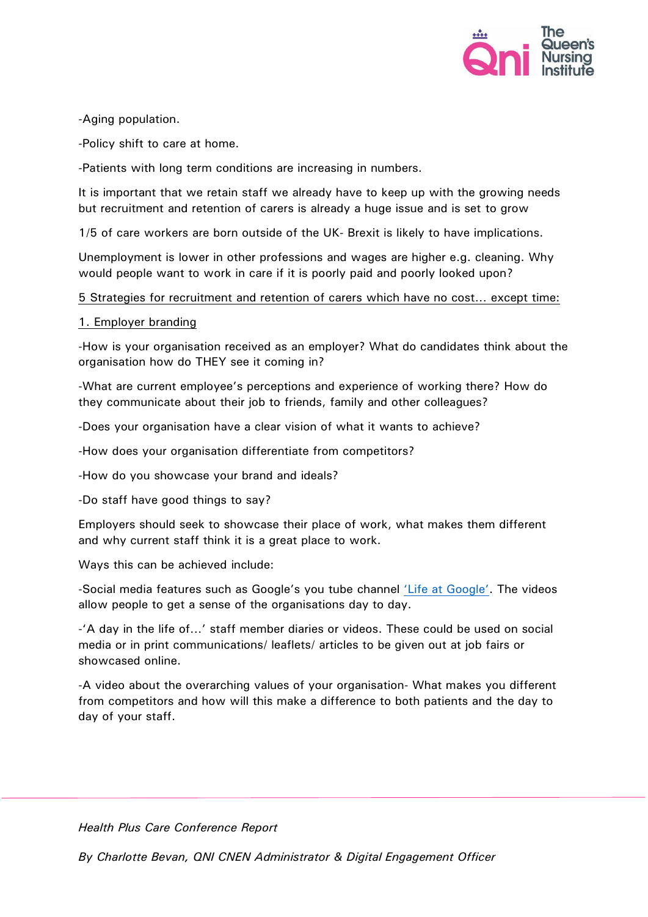

## -Aging population.

-Policy shift to care at home.

-Patients with long term conditions are increasing in numbers.

It is important that we retain staff we already have to keep up with the growing needs but recruitment and retention of carers is already a huge issue and is set to grow

1/5 of care workers are born outside of the UK- Brexit is likely to have implications.

Unemployment is lower in other professions and wages are higher e.g. cleaning. Why would people want to work in care if it is poorly paid and poorly looked upon?

# 5 Strategies for recruitment and retention of carers which have no cost… except time:

# 1. Employer branding

-How is your organisation received as an employer? What do candidates think about the organisation how do THEY see it coming in?

-What are current employee's perceptions and experience of working there? How do they communicate about their job to friends, family and other colleagues?

-Does your organisation have a clear vision of what it wants to achieve?

-How does your organisation differentiate from competitors?

-How do you showcase your brand and ideals?

-Do staff have good things to say?

Employers should seek to showcase their place of work, what makes them different and why current staff think it is a great place to work.

Ways this can be achieved include:

-Social media features such as Google's you tube channel ['Life at Google'](https://www.youtube.com/user/lifeatgoogle). The videos allow people to get a sense of the organisations day to day.

-'A day in the life of…' staff member diaries or videos. These could be used on social media or in print communications/ leaflets/ articles to be given out at job fairs or showcased online.

-A video about the overarching values of your organisation- What makes you different from competitors and how will this make a difference to both patients and the day to day of your staff.

*Health Plus Care Conference Report*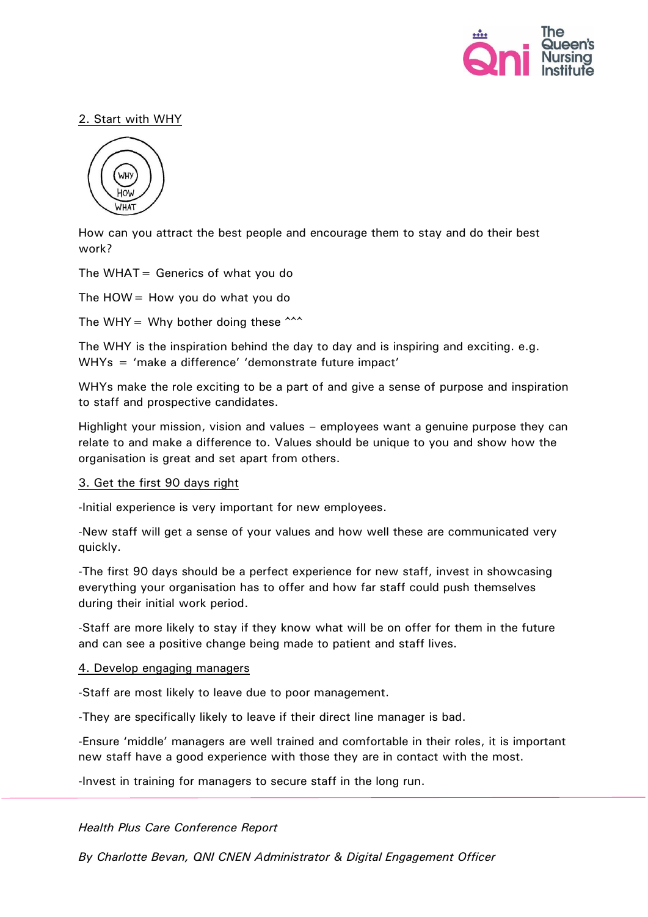

# 2. Start with WHY



How can you attract the best people and encourage them to stay and do their best work?

The WHAT = Generics of what you do

The  $HOW = How$  you do what you do

The WHY = Why bother doing these  $\sim$ 

The WHY is the inspiration behind the day to day and is inspiring and exciting. e.g. WHYs = 'make a difference' 'demonstrate future impact'

WHYs make the role exciting to be a part of and give a sense of purpose and inspiration to staff and prospective candidates.

Highlight your mission, vision and values – employees want a genuine purpose they can relate to and make a difference to. Values should be unique to you and show how the organisation is great and set apart from others.

#### 3. Get the first 90 days right

-Initial experience is very important for new employees.

-New staff will get a sense of your values and how well these are communicated very quickly.

-The first 90 days should be a perfect experience for new staff, invest in showcasing everything your organisation has to offer and how far staff could push themselves during their initial work period.

-Staff are more likely to stay if they know what will be on offer for them in the future and can see a positive change being made to patient and staff lives.

#### 4. Develop engaging managers

-Staff are most likely to leave due to poor management.

-They are specifically likely to leave if their direct line manager is bad.

-Ensure 'middle' managers are well trained and comfortable in their roles, it is important new staff have a good experience with those they are in contact with the most.

-Invest in training for managers to secure staff in the long run.

*Health Plus Care Conference Report*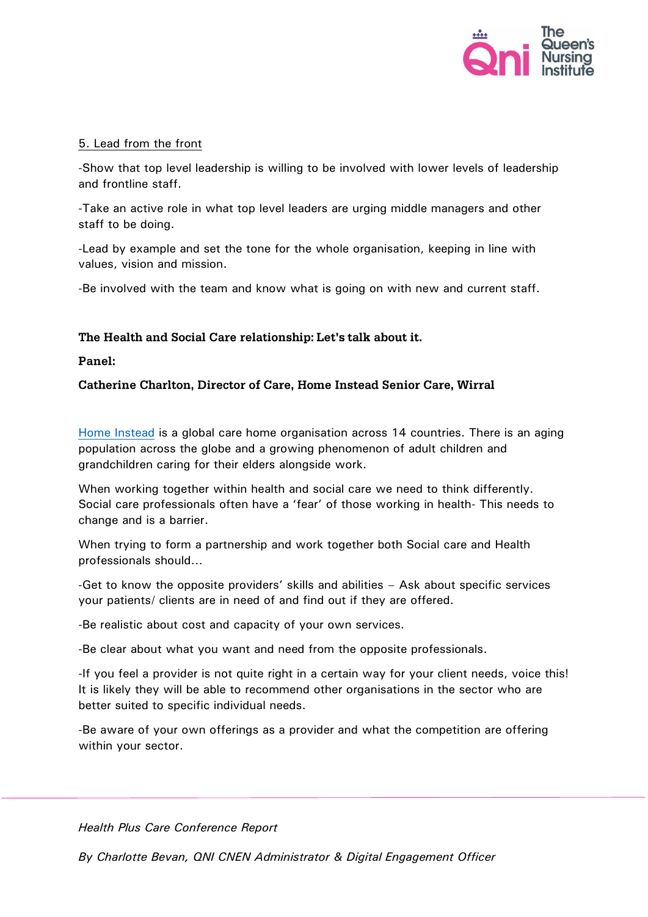

## 5. Lead from the front

-Show that top level leadership is willing to be involved with lower levels of leadership and frontline staff.

-Take an active role in what top level leaders are urging middle managers and other staff to be doing.

-Lead by example and set the tone for the whole organisation, keeping in line with values, vision and mission.

-Be involved with the team and know what is going on with new and current staff.

# The Health and Social Care relationship: Let's talk about it.

#### Panel:

Catherine Charlton, Director of Care, Home Instead Senior Care, Wirral

[Home Instead](https://www.homeinstead.co.uk/Index.do) is a global care home organisation across 14 countries. There is an aging population across the globe and a growing phenomenon of adult children and grandchildren caring for their elders alongside work.

When working together within health and social care we need to think differently. Social care professionals often have a 'fear' of those working in health- This needs to change and is a barrier.

When trying to form a partnership and work together both Social care and Health professionals should…

-Get to know the opposite providers' skills and abilities – Ask about specific services your patients/ clients are in need of and find out if they are offered.

-Be realistic about cost and capacity of your own services.

-Be clear about what you want and need from the opposite professionals.

-If you feel a provider is not quite right in a certain way for your client needs, voice this! It is likely they will be able to recommend other organisations in the sector who are better suited to specific individual needs.

-Be aware of your own offerings as a provider and what the competition are offering within your sector.

*Health Plus Care Conference Report*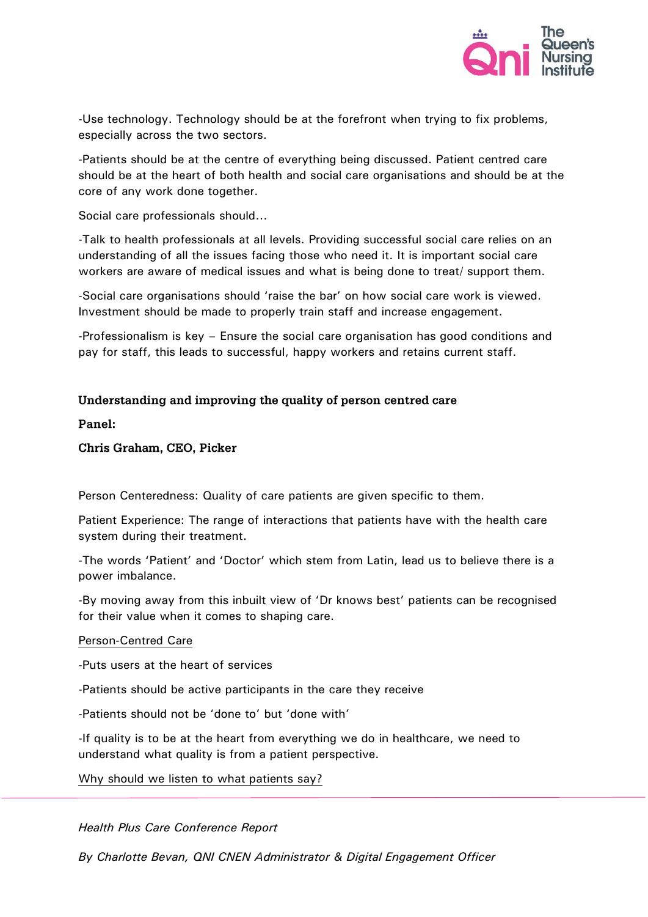

-Use technology. Technology should be at the forefront when trying to fix problems, especially across the two sectors.

-Patients should be at the centre of everything being discussed. Patient centred care should be at the heart of both health and social care organisations and should be at the core of any work done together.

Social care professionals should…

-Talk to health professionals at all levels. Providing successful social care relies on an understanding of all the issues facing those who need it. It is important social care workers are aware of medical issues and what is being done to treat/ support them.

-Social care organisations should 'raise the bar' on how social care work is viewed. Investment should be made to properly train staff and increase engagement.

-Professionalism is key – Ensure the social care organisation has good conditions and pay for staff, this leads to successful, happy workers and retains current staff.

## Understanding and improving the quality of person centred care

Panel:

Chris Graham, CEO, Picker

Person Centeredness: Quality of care patients are given specific to them.

Patient Experience: The range of interactions that patients have with the health care system during their treatment.

-The words 'Patient' and 'Doctor' which stem from Latin, lead us to believe there is a power imbalance.

-By moving away from this inbuilt view of 'Dr knows best' patients can be recognised for their value when it comes to shaping care.

#### Person-Centred Care

-Puts users at the heart of services

-Patients should be active participants in the care they receive

-Patients should not be 'done to' but 'done with'

-If quality is to be at the heart from everything we do in healthcare, we need to understand what quality is from a patient perspective.

Why should we listen to what patients say?

*Health Plus Care Conference Report*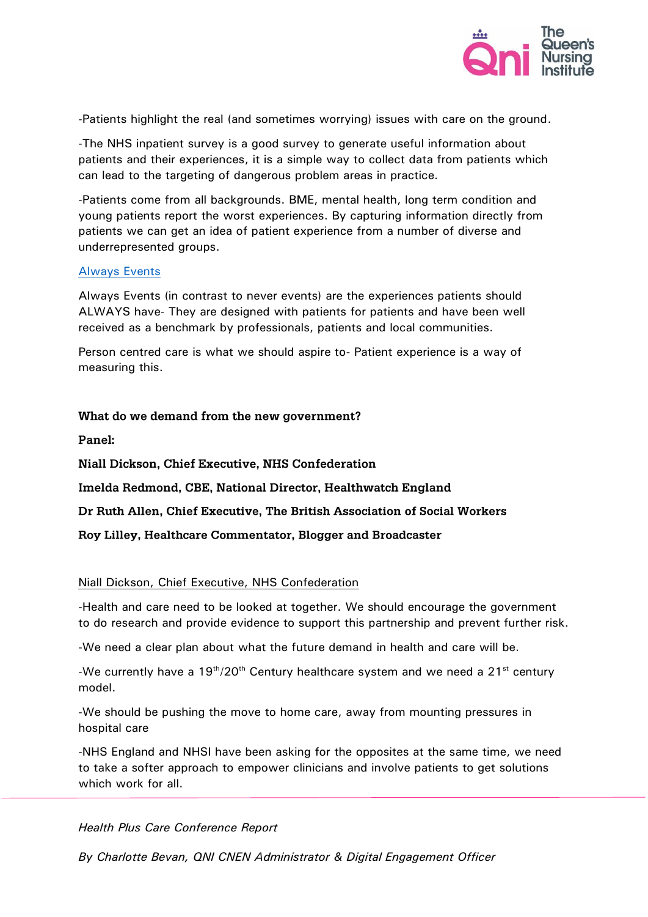

-Patients highlight the real (and sometimes worrying) issues with care on the ground.

-The NHS inpatient survey is a good survey to generate useful information about patients and their experiences, it is a simple way to collect data from patients which can lead to the targeting of dangerous problem areas in practice.

-Patients come from all backgrounds. BME, mental health, long term condition and young patients report the worst experiences. By capturing information directly from patients we can get an idea of patient experience from a number of diverse and underrepresented groups.

#### [Always Events](https://www.england.nhs.uk/ourwork/pe/always-events/)

Always Events (in contrast to never events) are the experiences patients should ALWAYS have- They are designed with patients for patients and have been well received as a benchmark by professionals, patients and local communities.

Person centred care is what we should aspire to- Patient experience is a way of measuring this.

#### What do we demand from the new government?

Panel:

**Niall Dickson, Chief Executive, NHS Confederation** 

Imelda Redmond, CBE, National Director, Healthwatch England

Dr Ruth Allen, Chief Executive, The British Association of Social Workers

Roy Lilley, Healthcare Commentator, Blogger and Broadcaster

#### Niall Dickson, Chief Executive, NHS Confederation

-Health and care need to be looked at together. We should encourage the government to do research and provide evidence to support this partnership and prevent further risk.

-We need a clear plan about what the future demand in health and care will be.

-We currently have a  $19<sup>th</sup>/20<sup>th</sup>$  Century healthcare system and we need a  $21<sup>st</sup>$  century model.

-We should be pushing the move to home care, away from mounting pressures in hospital care

-NHS England and NHSI have been asking for the opposites at the same time, we need to take a softer approach to empower clinicians and involve patients to get solutions which work for all.

#### *Health Plus Care Conference Report*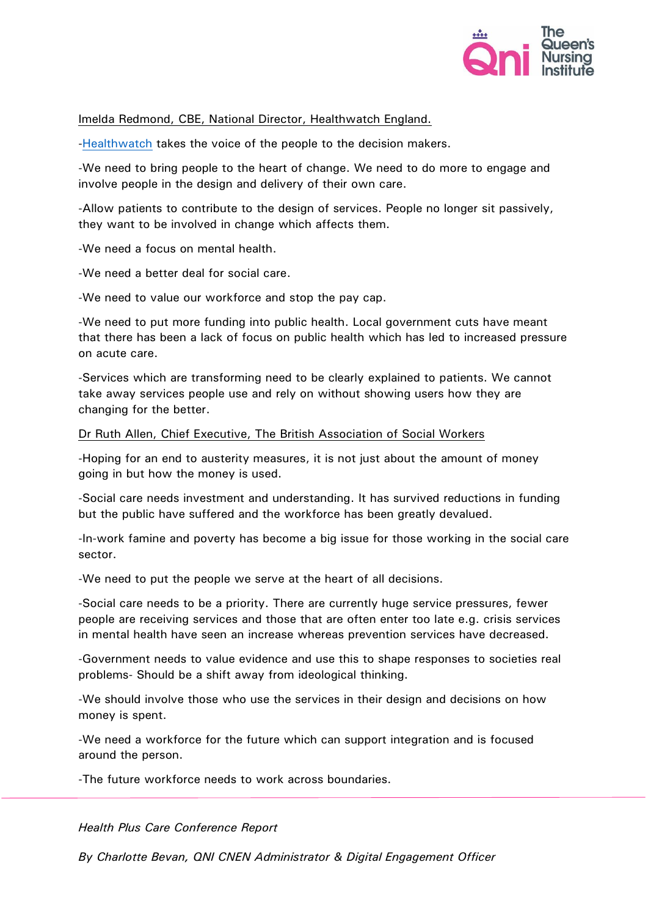

Imelda Redmond, CBE, National Director, Healthwatch England.

[-Healthwatch](http://www.healthwatch.co.uk/) takes the voice of the people to the decision makers.

-We need to bring people to the heart of change. We need to do more to engage and involve people in the design and delivery of their own care.

-Allow patients to contribute to the design of services. People no longer sit passively, they want to be involved in change which affects them.

-We need a focus on mental health.

-We need a better deal for social care.

-We need to value our workforce and stop the pay cap.

-We need to put more funding into public health. Local government cuts have meant that there has been a lack of focus on public health which has led to increased pressure on acute care.

-Services which are transforming need to be clearly explained to patients. We cannot take away services people use and rely on without showing users how they are changing for the better.

#### Dr Ruth Allen, Chief Executive, The British Association of Social Workers

-Hoping for an end to austerity measures, it is not just about the amount of money going in but how the money is used.

-Social care needs investment and understanding. It has survived reductions in funding but the public have suffered and the workforce has been greatly devalued.

-In-work famine and poverty has become a big issue for those working in the social care sector.

-We need to put the people we serve at the heart of all decisions.

-Social care needs to be a priority. There are currently huge service pressures, fewer people are receiving services and those that are often enter too late e.g. crisis services in mental health have seen an increase whereas prevention services have decreased.

-Government needs to value evidence and use this to shape responses to societies real problems- Should be a shift away from ideological thinking.

-We should involve those who use the services in their design and decisions on how money is spent.

-We need a workforce for the future which can support integration and is focused around the person.

-The future workforce needs to work across boundaries.

*Health Plus Care Conference Report*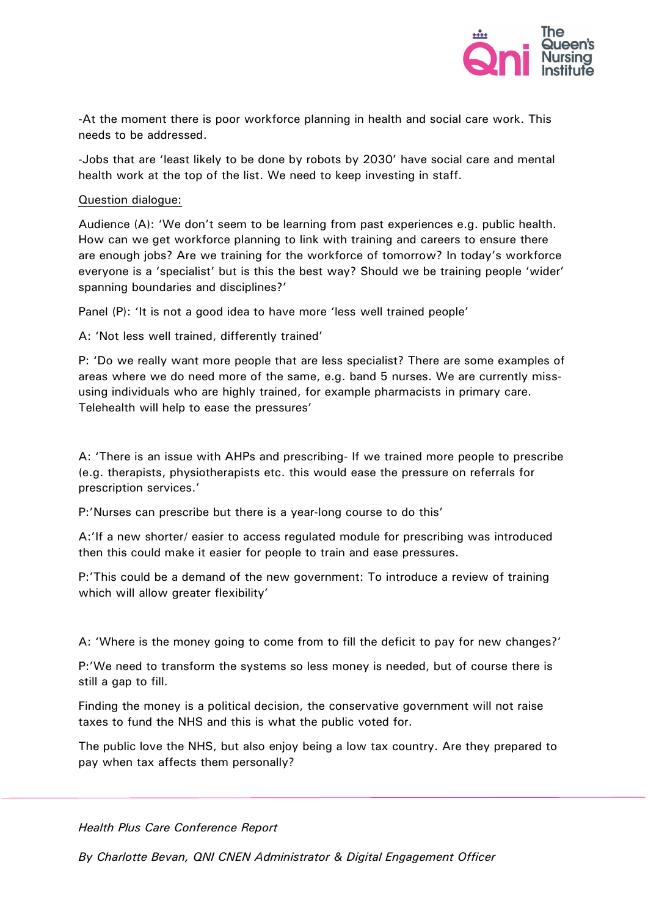

-At the moment there is poor workforce planning in health and social care work. This needs to be addressed.

-Jobs that are 'least likely to be done by robots by 2030' have social care and mental health work at the top of the list. We need to keep investing in staff.

#### Question dialogue:

Audience (A): 'We don't seem to be learning from past experiences e.g. public health. How can we get workforce planning to link with training and careers to ensure there are enough jobs? Are we training for the workforce of tomorrow? In today's workforce everyone is a 'specialist' but is this the best way? Should we be training people 'wider' spanning boundaries and disciplines?'

Panel (P): 'It is not a good idea to have more 'less well trained people'

A: 'Not less well trained, differently trained'

P: 'Do we really want more people that are less specialist? There are some examples of areas where we do need more of the same, e.g. band 5 nurses. We are currently missusing individuals who are highly trained, for example pharmacists in primary care. Telehealth will help to ease the pressures'

A: 'There is an issue with AHPs and prescribing- If we trained more people to prescribe (e.g. therapists, physiotherapists etc. this would ease the pressure on referrals for prescription services.'

P:'Nurses can prescribe but there is a year-long course to do this'

A:'If a new shorter/ easier to access regulated module for prescribing was introduced then this could make it easier for people to train and ease pressures.

P:'This could be a demand of the new government: To introduce a review of training which will allow greater flexibility'

A: 'Where is the money going to come from to fill the deficit to pay for new changes?'

P:'We need to transform the systems so less money is needed, but of course there is still a gap to fill.

Finding the money is a political decision, the conservative government will not raise taxes to fund the NHS and this is what the public voted for.

The public love the NHS, but also enjoy being a low tax country. Are they prepared to pay when tax affects them personally?

*Health Plus Care Conference Report*